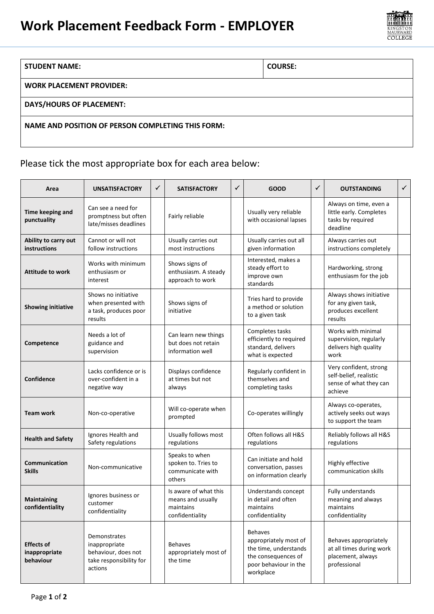# **Work Placement Feedback Form - EMPLOYER**



#### **STUDENT NAME: COURSE:**

**WORK PLACEMENT PROVIDER:**

#### **DAYS/HOURS OF PLACEMENT:**

### **NAME AND POSITION OF PERSON COMPLETING THIS FORM:**

### Please tick the most appropriate box for each area below:

| Area                                            | <b>UNSATISFACTORY</b>                                                                      | ✓ | <b>SATISFACTORY</b>                                                        | ✓ | <b>GOOD</b>                                                                                                                   | ✓ | <b>OUTSTANDING</b>                                                                     | $\checkmark$ |
|-------------------------------------------------|--------------------------------------------------------------------------------------------|---|----------------------------------------------------------------------------|---|-------------------------------------------------------------------------------------------------------------------------------|---|----------------------------------------------------------------------------------------|--------------|
| Time keeping and<br>punctuality                 | Can see a need for<br>promptness but often<br>late/misses deadlines                        |   | Fairly reliable                                                            |   | Usually very reliable<br>with occasional lapses                                                                               |   | Always on time, even a<br>little early. Completes<br>tasks by required<br>deadline     |              |
| Ability to carry out<br><b>instructions</b>     | Cannot or will not<br>follow instructions                                                  |   | Usually carries out<br>most instructions                                   |   | Usually carries out all<br>given information                                                                                  |   | Always carries out<br>instructions completely                                          |              |
| <b>Attitude to work</b>                         | Works with minimum<br>enthusiasm or<br>interest                                            |   | Shows signs of<br>enthusiasm. A steady<br>approach to work                 |   | Interested, makes a<br>steady effort to<br>improve own<br>standards                                                           |   | Hardworking, strong<br>enthusiasm for the job                                          |              |
| <b>Showing initiative</b>                       | Shows no initiative<br>when presented with<br>a task, produces poor<br>results             |   | Shows signs of<br>initiative                                               |   | Tries hard to provide<br>a method or solution<br>to a given task                                                              |   | Always shows initiative<br>for any given task,<br>produces excellent<br>results        |              |
| Competence                                      | Needs a lot of<br>guidance and<br>supervision                                              |   | Can learn new things<br>but does not retain<br>information well            |   | Completes tasks<br>efficiently to required<br>standard, delivers<br>what is expected                                          |   | Works with minimal<br>supervision, regularly<br>delivers high quality<br>work          |              |
| Confidence                                      | Lacks confidence or is<br>over-confident in a<br>negative way                              |   | Displays confidence<br>at times but not<br>always                          |   | Regularly confident in<br>themselves and<br>completing tasks                                                                  |   | Very confident, strong<br>self-belief, realistic<br>sense of what they can<br>achieve  |              |
| <b>Team work</b>                                | Non-co-operative                                                                           |   | Will co-operate when<br>prompted                                           |   | Co-operates willingly                                                                                                         |   | Always co-operates,<br>actively seeks out ways<br>to support the team                  |              |
| <b>Health and Safety</b>                        | Ignores Health and<br>Safety regulations                                                   |   | Usually follows most<br>regulations                                        |   | Often follows all H&S<br>regulations                                                                                          |   | Reliably follows all H&S<br>regulations                                                |              |
| Communication<br><b>Skills</b>                  | Non-communicative                                                                          |   | Speaks to when<br>spoken to. Tries to<br>communicate with<br>others        |   | Can initiate and hold<br>conversation, passes<br>on information clearly                                                       |   | Highly effective<br>communication skills                                               |              |
| Maintaining<br>confidentiality                  | Ignores business or<br>customer<br>confidentiality                                         |   | Is aware of what this<br>means and usually<br>maintains<br>confidentiality |   | Understands concept<br>in detail and often<br>maintains<br>confidentiality                                                    |   | Fully understands<br>meaning and always<br>maintains<br>confidentiality                |              |
| <b>Effects of</b><br>inappropriate<br>behaviour | Demonstrates<br>inappropriate<br>behaviour, does not<br>take responsibility for<br>actions |   | <b>Behaves</b><br>appropriately most of<br>the time                        |   | <b>Behaves</b><br>appropriately most of<br>the time, understands<br>the consequences of<br>poor behaviour in the<br>workplace |   | Behaves appropriately<br>at all times during work<br>placement, always<br>professional |              |